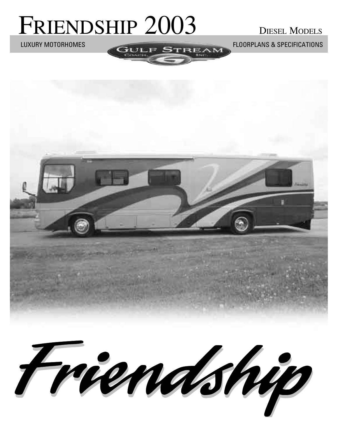# FRIENDSHIP 2003 DIESEL MODELS

LUXURY MOTORHOMES FLOORPLANS & SPECIFICATIONS

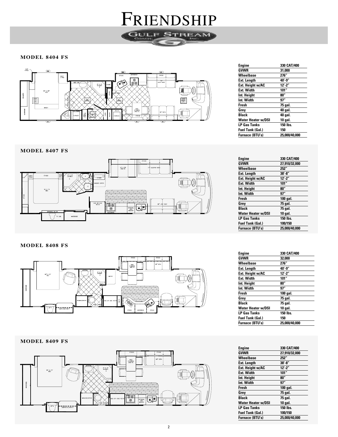**MODEL 8404 FS**



FRIENDSHIP

**GULF STREAM** 

| Engine                  | 330 CAT/400       |
|-------------------------|-------------------|
| GVWR                    | 31,000            |
| Wheelbase               | 276"              |
| Ext. Length             | 40'-9"            |
| Ext. Height w/AC        | $12^{\prime}$ -2" |
| Ext. Width              | 101"              |
| Int. Height             | 80"               |
| Int. Width              | 97"               |
| Fresh                   | 75 gal.           |
| Grey                    | 40 gal.           |
| <b>Black</b>            | 40 gal.           |
| Water Heater w/DSI      | 10 gal.           |
| LP Gas Tanks            | 150 lbs.          |
| <b>Fuel Tank (Gal.)</b> | 150               |
| <b>Furnace (BTU's)</b>  | 25.000/40.000     |
|                         |                   |

**MODEL 8407 FS**



**MODEL 8408 FS**



**MODEL 8409 FS**



| Engine                    | 330 CAT/400   |
|---------------------------|---------------|
| <b>GVWR</b>               | 27.910/32.000 |
| Wheelbase                 | 252"          |
| <b>Ext. Length</b>        | $38' - 8''$   |
| Ext. Height w/AC          | $12' - 2''$   |
| <b>Ext. Width</b>         | 101"          |
| Int. Height               | 80"           |
| Int. Width                | 97"           |
| Fresh                     | 100 gal.      |
| Grev                      | 75 gal.       |
| <b>Black</b>              | 75 gal.       |
| <b>Water Heater w/DSI</b> | 10 gal.       |
| <b>LP Gas Tanks</b>       | 150 lbs.      |
| Fuel Tank (Gal.)          | 100/150       |
| <b>Furnace (BTU's)</b>    | 25.000/40.000 |

| Engine                    | 330 CAT/400   |
|---------------------------|---------------|
| GVWR                      | 32,000        |
| Wheelbase                 | 276"          |
| Ext. Length               | 40'-9"        |
| Ext. Height w/AC          | $12' - 2''$   |
| Ext. Width                | 101"          |
| Int. Height               | 80"           |
| Int. Width                | 97"           |
| Fresh                     | 100 gal.      |
| Grev                      | 75 gal.       |
| <b>Black</b>              | 75 gal.       |
| <b>Water Heater w/DSI</b> | 10 gal.       |
| <b>LP Gas Tanks</b>       | 150 lbs.      |
| <b>Fuel Tank (Gal.)</b>   | 150           |
| <b>Furnace (BTU's)</b>    | 25.000/40.000 |

| <b>Engine</b>             | 330 CAT/400   |
|---------------------------|---------------|
| GVWR                      | 27.910/32.000 |
| Wheelbase                 | 252"          |
| Ext. Length               | $38' - 8''$   |
| Ext. Height w/AC          | $12' - 2''$   |
| <b>Ext. Width</b>         | 101"          |
| Int. Height               | 80"           |
| Int. Width                | 97"           |
| <b>Fresh</b>              | 100 gal.      |
| Grev                      | 75 gal.       |
| <b>Black</b>              | 75 gal.       |
| <b>Water Heater w/DSI</b> | 10 gal.       |
| <b>LP Gas Tanks</b>       | 150 lbs.      |
| <b>Fuel Tank (Gal.)</b>   | 100/150       |
| <b>Furnace (BTU's)</b>    | 25.000/40.000 |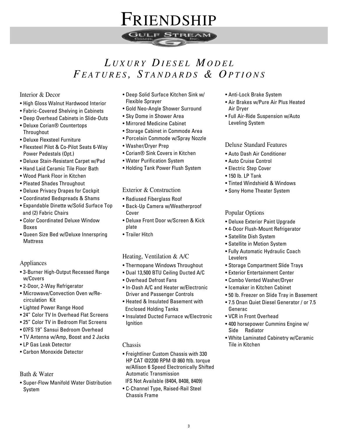

### *L U X U R Y D I E S E L M O D E L FE A T U R E S , S T A N D A R D S & O P T I O N S*

#### Interior & Decor

- High Gloss Walnut Hardwood Interior
- Fabric-Covered Shelving in Cabinets
- Deep Overhead Cabinets in Slide-Outs
- Deluxe Corian® Countertops **Throughout**
- Deluxe Flexsteel Furniture
- Flexsteel Pilot & Co-Pilot Seats 6-Way Power Pedestals (Opt.)
- Deluxe Stain-Resistant Carpet w/Pad
- Hand Laid Ceramic Tile Floor Bath
- Wood Plank Floor in Kitchen
- Pleated Shades Throughout
- Deluxe Privacy Drapes for Cockpit
- Coordinated Bedspreads & Shams
- Expandable Dinette w/Solid Surface Top and (2) Fabric Chairs
- Color Coordinated Deluxe Window Boxes
- Queen Size Bed w/Deluxe Innerspring **Mattress**

#### Appliances

- 3-Burner High-Output Recessed Range w/Covers
- 2-Door, 2-Way Refrigerator
- Microwave/Convection Oven w/Recirculation Kit
- Lighted Power Range Hood
- 24" Color TV In Overhead Flat Screens
- 25" Color TV in Bedroom Flat Screens
- 07FS 19" Sansui Bedroom Overhead
- TV Antenna w/Amp, Boost and 2 Jacks
- LP Gas Leak Detector
- Carbon Monoxide Detector

#### Bath & Water

• Super-Flow Manifold Water Distribution System

- Deep Solid Surface Kitchen Sink w/ Flexible Sprayer
- Gold Neo-Angle Shower Surround
- Sky Dome in Shower Area
- Mirrored Medicine Cabinet
- Storage Cabinet in Commode Area
- Porcelain Commode w/Spray Nozzle
- Washer/Dryer Prep
- Corian® Sink Covers in Kitchen
- Water Purification System
- Holding Tank Power Flush System

#### Exterior & Construction

- Radiused Fiberglass Roof
- Back-Up Camera w/Weatherproof Cover
- Deluxe Front Door w/Screen & Kick plate
- Trailer Hitch

#### Heating, Ventilation & A/C

- Thermopane Windows Throughout
- Dual 13,500 BTU Ceiling Ducted A/C
- Overhead Defrost Fans
- In-Dash A/C and Heater w/Electronic Driver and Passenger Controls
- Heated & Insulated Basement with Enclosed Holding Tanks
- Insulated Ducted Furnace w/Electronic Ignition

#### Chassis

- Freightliner Custom Chassis with 330 HP CAT @2200 RPM @ 860 ftlb. torque w/Allison 6 Speed Electronically Shifted Automatic Transmission
- IFS Not Available (8404, 8408, 8409)
- C-Channel Type, Raised-Rail Steel Chassis Frame
- Anti-Lock Brake System
- Air Brakes w/Pure Air Plus Heated Air Dryer
- Full Air-Ride Suspension w/Auto Leveling System

#### Deluxe Standard Features

- Auto Dash Air Conditioner
- Auto Cruise Control
- Electric Step Cover
- 150 lb. LP Tank
- Tinted Windshield & Windows
- Sony Home Theater System

#### Popular Options

- Deluxe Exterior Paint Upgrade
- 4-Door Flush-Mount Refrigerator
- Satellite Dish System
- Satellite in Motion System
- Fully Automatic Hydraulic Coach Levelers
- Storage Compartment Slide Trays
- Exterior Entertainment Center
- Combo Vented Washer/Dryer
- Icemaker in Kitchen Cabinet
- 50 lb. Freezer on Slide Tray in Basement
- 7.5 Onan Quiet Diesel Generator / or 7.5 Generac
- VCR in Front Overhead
- 400 horsepower Cummins Engine w/ Side Radiator
- White Laminated Cabinetry w/Ceramic Tile in Kitchen